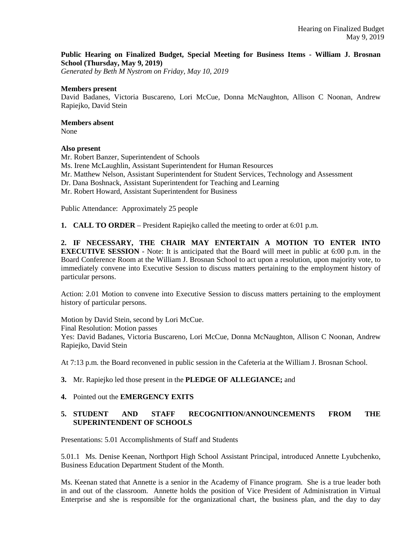### **Public Hearing on Finalized Budget, Special Meeting for Business Items - William J. Brosnan School (Thursday, May 9, 2019)**

*Generated by Beth M Nystrom on Friday, May 10, 2019*

#### **Members present**

David Badanes, Victoria Buscareno, Lori McCue, Donna McNaughton, Allison C Noonan, Andrew Rapiejko, David Stein

## **Members absent**

None

### **Also present**

Mr. Robert Banzer, Superintendent of Schools Ms. Irene McLaughlin, Assistant Superintendent for Human Resources Mr. Matthew Nelson, Assistant Superintendent for Student Services, Technology and Assessment Dr. Dana Boshnack, Assistant Superintendent for Teaching and Learning Mr. Robert Howard, Assistant Superintendent for Business

Public Attendance: Approximately 25 people

**1. CALL TO ORDER** – President Rapiejko called the meeting to order at 6:01 p.m.

**2. IF NECESSARY, THE CHAIR MAY ENTERTAIN A MOTION TO ENTER INTO EXECUTIVE SESSION** - Note: It is anticipated that the Board will meet in public at 6:00 p.m. in the Board Conference Room at the William J. Brosnan School to act upon a resolution, upon majority vote, to immediately convene into Executive Session to discuss matters pertaining to the employment history of particular persons.

Action: 2.01 Motion to convene into Executive Session to discuss matters pertaining to the employment history of particular persons.

Motion by David Stein, second by Lori McCue. Final Resolution: Motion passes Yes: David Badanes, Victoria Buscareno, Lori McCue, Donna McNaughton, Allison C Noonan, Andrew Rapiejko, David Stein

At 7:13 p.m. the Board reconvened in public session in the Cafeteria at the William J. Brosnan School.

- **3.** Mr. Rapiejko led those present in the **PLEDGE OF ALLEGIANCE;** and
- **4.** Pointed out the **EMERGENCY EXITS**

## **5. STUDENT AND STAFF RECOGNITION/ANNOUNCEMENTS FROM THE SUPERINTENDENT OF SCHOOLS**

Presentations: 5.01 Accomplishments of Staff and Students

5.01.1 Ms. Denise Keenan, Northport High School Assistant Principal, introduced Annette Lyubchenko, Business Education Department Student of the Month.

Ms. Keenan stated that Annette is a senior in the Academy of Finance program. She is a true leader both in and out of the classroom. Annette holds the position of Vice President of Administration in Virtual Enterprise and she is responsible for the organizational chart, the business plan, and the day to day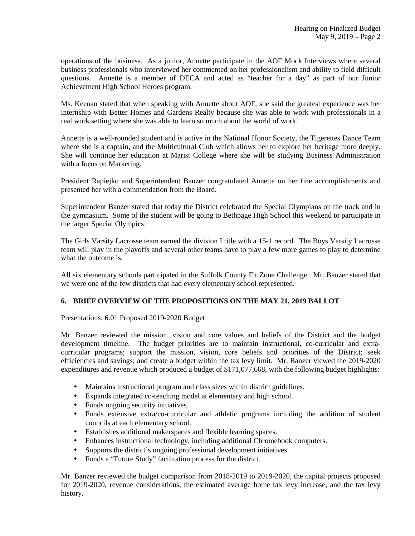operations of the business. As a junior, Annette participate in the AOF Mock Interviews where several business professionals who interviewed her commented on her professionalism and ability to field difficult questions. Annette is a member of DECA and acted as "teacher for a day" as part of our Junior Achievement High School Heroes program.

Ms. Keenan stated that when speaking with Annette about AOF, she said the greatest experience was her internship with Better Homes and Gardens Realty because she was able to work with professionals in a real work setting where she was able to learn so much about the world of work.

Annette is a well-rounded student and is active in the National Honor Society, the Tigerettes Dance Team where she is a captain, and the Multicultural Club which allows her to explore her heritage more deeply. She will continue her education at Marist College where she will be studying Business Administration with a focus on Marketing.

President Rapiejko and Superintendent Banzer congratulated Annette on her fine accomplishments and presented her with a commendation from the Board.

Superintendent Banzer stated that today the District celebrated the Special Olympians on the track and in the gymnasium. Some of the student will be going to Bethpage High School this weekend to participate in the larger Special Olympics.

The Girls Varsity Lacrosse team earned the division I title with a 15-1 record. The Boys Varsity Lacrosse team will play in the playoffs and several other teams have to play a few more games to play to determine what the outcome is.

All six elementary schools participated in the Suffolk County Fit Zone Challenge. Mr. Banzer stated that we were one of the few districts that had every elementary school represented.

# **6. BRIEF OVERVIEW OF THE PROPOSITIONS ON THE MAY 21, 2019 BALLOT**

Presentations: 6.01 Proposed 2019-2020 Budget

Mr. Banzer reviewed the mission, vision and core values and beliefs of the District and the budget development timeline. The budget priorities are to maintain instructional, co-curricular and extracurricular programs; support the mission, vision, core beliefs and priorities of the District; seek efficiencies and savings; and create a budget within the tax levy limit. Mr. Banzer viewed the 2019-2020 expenditures and revenue which produced a budget of \$171,077,668, with the following budget highlights:

- Maintains instructional program and class sizes within district guidelines.
- Expands integrated co-teaching model at elementary and high school.
- Funds ongoing security initiatives.
- Funds extensive extra/co-curricular and athletic programs including the addition of student councils at each elementary school.
- Establishes additional makerspaces and flexible learning spaces.
- Enhances instructional technology, including additional Chromebook computers.
- Supports the district's ongoing professional development initiatives.
- Funds a "Future Study" facilitation process for the district.

Mr. Banzer reviewed the budget comparison from 2018-2019 to 2019-2020, the capital projects proposed for 2019-2020, revenue considerations, the estimated average home tax levy increase, and the tax levy history.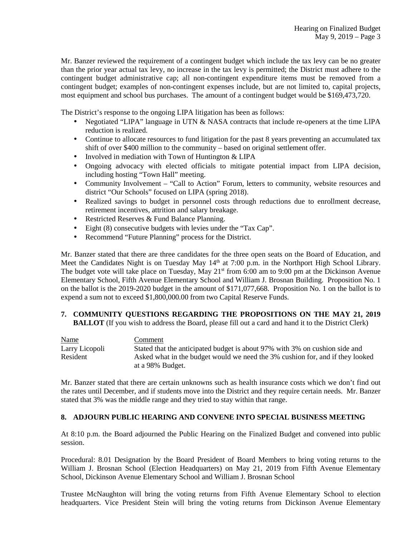Mr. Banzer reviewed the requirement of a contingent budget which include the tax levy can be no greater than the prior year actual tax levy, no increase in the tax levy is permitted; the District must adhere to the contingent budget administrative cap; all non-contingent expenditure items must be removed from a contingent budget; examples of non-contingent expenses include, but are not limited to, capital projects, most equipment and school bus purchases. The amount of a contingent budget would be \$169,473,720.

The District's response to the ongoing LIPA litigation has been as follows:

- Negotiated "LIPA" language in UTN & NASA contracts that include re-openers at the time LIPA reduction is realized.
- Continue to allocate resources to fund litigation for the past 8 years preventing an accumulated tax shift of over \$400 million to the community – based on original settlement offer.
- Involved in mediation with Town of Huntington & LIPA
- Ongoing advocacy with elected officials to mitigate potential impact from LIPA decision, including hosting "Town Hall" meeting.
- Community Involvement "Call to Action" Forum, letters to community, website resources and district "Our Schools" focused on LIPA (spring 2018).
- Realized savings to budget in personnel costs through reductions due to enrollment decrease, retirement incentives, attrition and salary breakage.
- Restricted Reserves & Fund Balance Planning.
- Eight (8) consecutive budgets with levies under the "Tax Cap".
- Recommend "Future Planning" process for the District.

Mr. Banzer stated that there are three candidates for the three open seats on the Board of Education, and Meet the Candidates Night is on Tuesday May 14<sup>th</sup> at 7:00 p.m. in the Northport High School Library. The budget vote will take place on Tuesday, May  $21<sup>st</sup>$  from 6:00 am to 9:00 pm at the Dickinson Avenue Elementary School, Fifth Avenue Elementary School and William J. Brosnan Building. Proposition No. 1 on the ballot is the 2019-2020 budget in the amount of \$171,077,668. Proposition No. 1 on the ballot is to expend a sum not to exceed \$1,800,000.00 from two Capital Reserve Funds.

#### **7. COMMUNITY QUESTIONS REGARDING THE PROPOSITIONS ON THE MAY 21, 2019 BALLOT** (If you wish to address the Board, please fill out a card and hand it to the District Clerk)

| <b>Name</b>    | Comment                                                                       |
|----------------|-------------------------------------------------------------------------------|
| Larry Licopoli | Stated that the anticipated budget is about 97% with 3% on cushion side and   |
| Resident       | Asked what in the budget would we need the 3% cushion for, and if they looked |
|                | at a 98% Budget.                                                              |

Mr. Banzer stated that there are certain unknowns such as health insurance costs which we don't find out the rates until December, and if students move into the District and they require certain needs. Mr. Banzer stated that 3% was the middle range and they tried to stay within that range.

### **8. ADJOURN PUBLIC HEARING AND CONVENE INTO SPECIAL BUSINESS MEETING**

At 8:10 p.m. the Board adjourned the Public Hearing on the Finalized Budget and convened into public session.

Procedural: 8.01 Designation by the Board President of Board Members to bring voting returns to the William J. Brosnan School (Election Headquarters) on May 21, 2019 from Fifth Avenue Elementary School, Dickinson Avenue Elementary School and William J. Brosnan School

Trustee McNaughton will bring the voting returns from Fifth Avenue Elementary School to election headquarters. Vice President Stein will bring the voting returns from Dickinson Avenue Elementary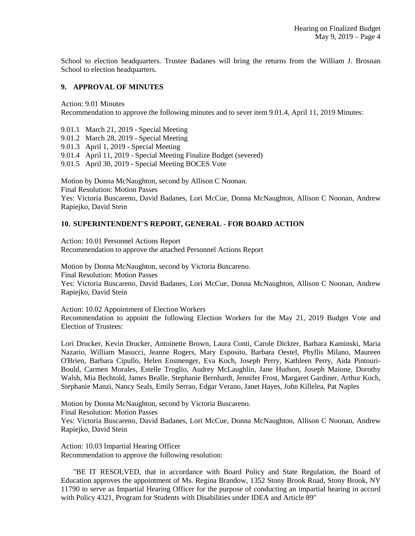School to election headquarters. Trustee Badanes will bring the returns from the William J. Brosnan School to election headquarters.

### **9. APPROVAL OF MINUTES**

Action: 9.01 Minutes Recommendation to approve the following minutes and to sever item 9.01.4, April 11, 2019 Minutes:

9.01.1 March 21, 2019 - Special Meeting 9.01.2 March 28, 2019 - Special Meeting 9.01.3 April 1, 2019 - Special Meeting 9.01.4 April 11, 2019 - Special Meeting Finalize Budget (severed) 9.01.5 April 30, 2019 - Special Meeting BOCES Vote

Motion by Donna McNaughton, second by Allison C Noonan.

Final Resolution: Motion Passes

Yes: Victoria Buscareno, David Badanes, Lori McCue, Donna McNaughton, Allison C Noonan, Andrew Rapiejko, David Stein

## **10. SUPERINTENDENT'S REPORT, GENERAL - FOR BOARD ACTION**

Action: 10.01 Personnel Actions Report Recommendation to approve the attached Personnel Actions Report

Motion by Donna McNaughton, second by Victoria Buscareno. Final Resolution: Motion Passes Yes: Victoria Buscareno, David Badanes, Lori McCue, Donna McNaughton, Allison C Noonan, Andrew Rapiejko, David Stein

Action: 10.02 Appointment of Election Workers Recommendation to appoint the following Election Workers for the May 21, 2019 Budget Vote and Election of Trustees:

Lori Drucker, Kevin Drucker, Antoinette Brown, Laura Conti, Carole Dickter, Barbara Kaminski, Maria Nazario, William Masucci, Jeanne Rogers, Mary Esposito, Barbara Oestel, Phyllis Milano, Maureen O'Brien, Barbara Cipullo, Helen Ensmenger, Eva Koch, Joseph Perry, Kathleen Perry, Aida Pintouri-Bould, Carmen Morales, Estelle Troglio, Audrey McLaughlin, Jane Hudson, Joseph Maione, Dorothy Walsh, Mia Bechtold, James Bealle, Stephanie Bernhardt, Jennifer Frost, Margaret Gardiner, Arthur Koch, Stephanie Manzi, Nancy Seals, Emily Serrao, Edgar Verano, Janet Hayes, John Killelea, Pat Naples

Motion by Donna McNaughton, second by Victoria Buscareno. Final Resolution: Motion Passes Yes: Victoria Buscareno, David Badanes, Lori McCue, Donna McNaughton, Allison C Noonan, Andrew Rapiejko, David Stein

Action: 10.03 Impartial Hearing Officer Recommendation to approve the following resolution:

"BE IT RESOLVED, that in accordance with Board Policy and State Regulation, the Board of Education approves the appointment of Ms. Regina Brandow, 1352 Stony Brook Road, Stony Brook, NY 11790 to serve as Impartial Hearing Officer for the purpose of conducting an impartial hearing in accord with Policy 4321, Program for Students with Disabilities under IDEA and Article 89"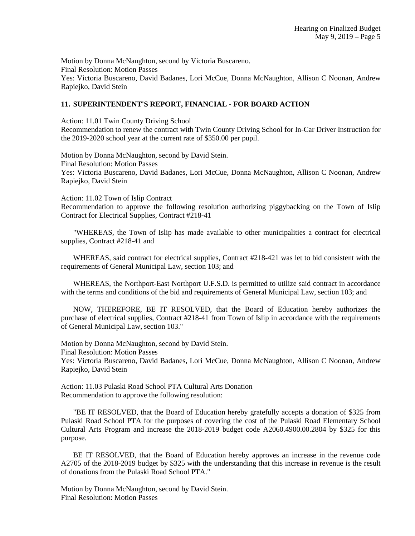Motion by Donna McNaughton, second by Victoria Buscareno. Final Resolution: Motion Passes Yes: Victoria Buscareno, David Badanes, Lori McCue, Donna McNaughton, Allison C Noonan, Andrew Rapiejko, David Stein

### **11. SUPERINTENDENT'S REPORT, FINANCIAL - FOR BOARD ACTION**

Action: 11.01 Twin County Driving School

Recommendation to renew the contract with Twin County Driving School for In-Car Driver Instruction for the 2019-2020 school year at the current rate of \$350.00 per pupil.

Motion by Donna McNaughton, second by David Stein. Final Resolution: Motion Passes Yes: Victoria Buscareno, David Badanes, Lori McCue, Donna McNaughton, Allison C Noonan, Andrew Rapiejko, David Stein

Action: 11.02 Town of Islip Contract Recommendation to approve the following resolution authorizing piggybacking on the Town of Islip Contract for Electrical Supplies, Contract #218-41

"WHEREAS, the Town of Islip has made available to other municipalities a contract for electrical supplies, Contract #218-41 and

WHEREAS, said contract for electrical supplies, Contract #218-421 was let to bid consistent with the requirements of General Municipal Law, section 103; and

WHEREAS, the Northport-East Northport U.F.S.D. is permitted to utilize said contract in accordance with the terms and conditions of the bid and requirements of General Municipal Law, section 103; and

NOW, THEREFORE, BE IT RESOLVED, that the Board of Education hereby authorizes the purchase of electrical supplies, Contract #218-41 from Town of Islip in accordance with the requirements of General Municipal Law, section 103."

Motion by Donna McNaughton, second by David Stein. Final Resolution: Motion Passes Yes: Victoria Buscareno, David Badanes, Lori McCue, Donna McNaughton, Allison C Noonan, Andrew Rapiejko, David Stein

Action: 11.03 Pulaski Road School PTA Cultural Arts Donation Recommendation to approve the following resolution:

"BE IT RESOLVED, that the Board of Education hereby gratefully accepts a donation of \$325 from Pulaski Road School PTA for the purposes of covering the cost of the Pulaski Road Elementary School Cultural Arts Program and increase the 2018-2019 budget code A2060.4900.00.2804 by \$325 for this purpose.

BE IT RESOLVED, that the Board of Education hereby approves an increase in the revenue code A2705 of the 2018-2019 budget by \$325 with the understanding that this increase in revenue is the result of donations from the Pulaski Road School PTA."

Motion by Donna McNaughton, second by David Stein. Final Resolution: Motion Passes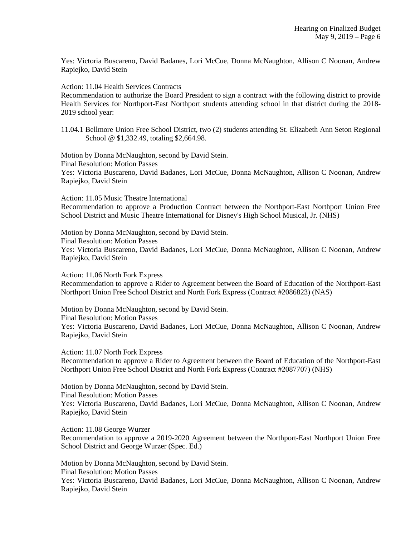Yes: Victoria Buscareno, David Badanes, Lori McCue, Donna McNaughton, Allison C Noonan, Andrew Rapiejko, David Stein

Action: 11.04 Health Services Contracts

Recommendation to authorize the Board President to sign a contract with the following district to provide Health Services for Northport-East Northport students attending school in that district during the 2018- 2019 school year:

11.04.1 Bellmore Union Free School District, two (2) students attending St. Elizabeth Ann Seton Regional School @ \$1,332.49, totaling \$2,664.98.

Motion by Donna McNaughton, second by David Stein. Final Resolution: Motion Passes Yes: Victoria Buscareno, David Badanes, Lori McCue, Donna McNaughton, Allison C Noonan, Andrew Rapiejko, David Stein

Action: 11.05 Music Theatre International Recommendation to approve a Production Contract between the Northport-East Northport Union Free School District and Music Theatre International for Disney's High School Musical, Jr. (NHS)

Motion by Donna McNaughton, second by David Stein. Final Resolution: Motion Passes Yes: Victoria Buscareno, David Badanes, Lori McCue, Donna McNaughton, Allison C Noonan, Andrew Rapiejko, David Stein

Action: 11.06 North Fork Express

Recommendation to approve a Rider to Agreement between the Board of Education of the Northport-East Northport Union Free School District and North Fork Express (Contract #2086823) (NAS)

Motion by Donna McNaughton, second by David Stein. Final Resolution: Motion Passes Yes: Victoria Buscareno, David Badanes, Lori McCue, Donna McNaughton, Allison C Noonan, Andrew Rapiejko, David Stein

Action: 11.07 North Fork Express Recommendation to approve a Rider to Agreement between the Board of Education of the Northport-East Northport Union Free School District and North Fork Express (Contract #2087707) (NHS)

Motion by Donna McNaughton, second by David Stein. Final Resolution: Motion Passes Yes: Victoria Buscareno, David Badanes, Lori McCue, Donna McNaughton, Allison C Noonan, Andrew Rapiejko, David Stein

Action: 11.08 George Wurzer Recommendation to approve a 2019-2020 Agreement between the Northport-East Northport Union Free School District and George Wurzer (Spec. Ed.)

Motion by Donna McNaughton, second by David Stein. Final Resolution: Motion Passes Yes: Victoria Buscareno, David Badanes, Lori McCue, Donna McNaughton, Allison C Noonan, Andrew Rapiejko, David Stein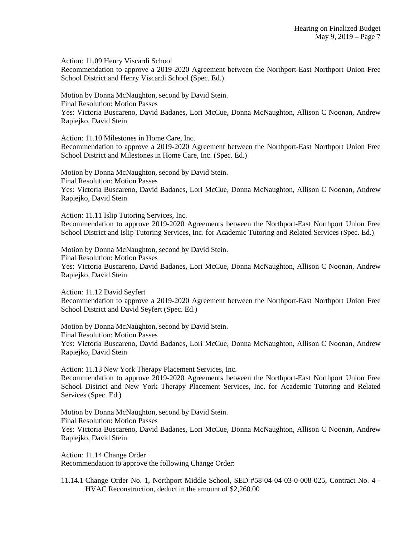Action: 11.09 Henry Viscardi School

Recommendation to approve a 2019-2020 Agreement between the Northport-East Northport Union Free School District and Henry Viscardi School (Spec. Ed.)

Motion by Donna McNaughton, second by David Stein. Final Resolution: Motion Passes Yes: Victoria Buscareno, David Badanes, Lori McCue, Donna McNaughton, Allison C Noonan, Andrew Rapiejko, David Stein

Action: 11.10 Milestones in Home Care, Inc. Recommendation to approve a 2019-2020 Agreement between the Northport-East Northport Union Free School District and Milestones in Home Care, Inc. (Spec. Ed.)

Motion by Donna McNaughton, second by David Stein. Final Resolution: Motion Passes Yes: Victoria Buscareno, David Badanes, Lori McCue, Donna McNaughton, Allison C Noonan, Andrew Rapiejko, David Stein

Action: 11.11 Islip Tutoring Services, Inc.

Recommendation to approve 2019-2020 Agreements between the Northport-East Northport Union Free School District and Islip Tutoring Services, Inc. for Academic Tutoring and Related Services (Spec. Ed.)

Motion by Donna McNaughton, second by David Stein. Final Resolution: Motion Passes Yes: Victoria Buscareno, David Badanes, Lori McCue, Donna McNaughton, Allison C Noonan, Andrew Rapiejko, David Stein

Action: 11.12 David Seyfert Recommendation to approve a 2019-2020 Agreement between the Northport-East Northport Union Free School District and David Seyfert (Spec. Ed.)

Motion by Donna McNaughton, second by David Stein.

Final Resolution: Motion Passes

Yes: Victoria Buscareno, David Badanes, Lori McCue, Donna McNaughton, Allison C Noonan, Andrew Rapiejko, David Stein

Action: 11.13 New York Therapy Placement Services, Inc. Recommendation to approve 2019-2020 Agreements between the Northport-East Northport Union Free School District and New York Therapy Placement Services, Inc. for Academic Tutoring and Related Services (Spec. Ed.)

Motion by Donna McNaughton, second by David Stein. Final Resolution: Motion Passes Yes: Victoria Buscareno, David Badanes, Lori McCue, Donna McNaughton, Allison C Noonan, Andrew Rapiejko, David Stein

Action: 11.14 Change Order Recommendation to approve the following Change Order:

11.14.1 Change Order No. 1, Northport Middle School, SED #58-04-04-03-0-008-025, Contract No. 4 - HVAC Reconstruction, deduct in the amount of \$2,260.00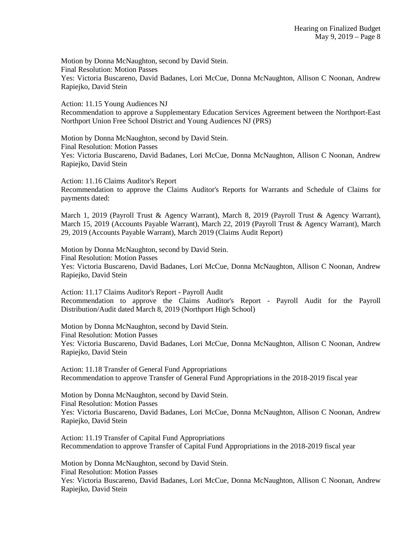Motion by Donna McNaughton, second by David Stein. Final Resolution: Motion Passes Yes: Victoria Buscareno, David Badanes, Lori McCue, Donna McNaughton, Allison C Noonan, Andrew Rapiejko, David Stein

Action: 11.15 Young Audiences NJ Recommendation to approve a Supplementary Education Services Agreement between the Northport-East Northport Union Free School District and Young Audiences NJ (PRS)

Motion by Donna McNaughton, second by David Stein. Final Resolution: Motion Passes Yes: Victoria Buscareno, David Badanes, Lori McCue, Donna McNaughton, Allison C Noonan, Andrew Rapiejko, David Stein

Action: 11.16 Claims Auditor's Report Recommendation to approve the Claims Auditor's Reports for Warrants and Schedule of Claims for payments dated:

March 1, 2019 (Payroll Trust & Agency Warrant), March 8, 2019 (Payroll Trust & Agency Warrant), March 15, 2019 (Accounts Payable Warrant), March 22, 2019 (Payroll Trust & Agency Warrant), March 29, 2019 (Accounts Payable Warrant), March 2019 (Claims Audit Report)

Motion by Donna McNaughton, second by David Stein. Final Resolution: Motion Passes Yes: Victoria Buscareno, David Badanes, Lori McCue, Donna McNaughton, Allison C Noonan, Andrew Rapiejko, David Stein

Action: 11.17 Claims Auditor's Report - Payroll Audit Recommendation to approve the Claims Auditor's Report - Payroll Audit for the Payroll Distribution/Audit dated March 8, 2019 (Northport High School)

Motion by Donna McNaughton, second by David Stein. Final Resolution: Motion Passes Yes: Victoria Buscareno, David Badanes, Lori McCue, Donna McNaughton, Allison C Noonan, Andrew Rapiejko, David Stein

Action: 11.18 Transfer of General Fund Appropriations Recommendation to approve Transfer of General Fund Appropriations in the 2018-2019 fiscal year

Motion by Donna McNaughton, second by David Stein. Final Resolution: Motion Passes Yes: Victoria Buscareno, David Badanes, Lori McCue, Donna McNaughton, Allison C Noonan, Andrew Rapiejko, David Stein

Action: 11.19 Transfer of Capital Fund Appropriations Recommendation to approve Transfer of Capital Fund Appropriations in the 2018-2019 fiscal year

Motion by Donna McNaughton, second by David Stein. Final Resolution: Motion Passes Yes: Victoria Buscareno, David Badanes, Lori McCue, Donna McNaughton, Allison C Noonan, Andrew Rapiejko, David Stein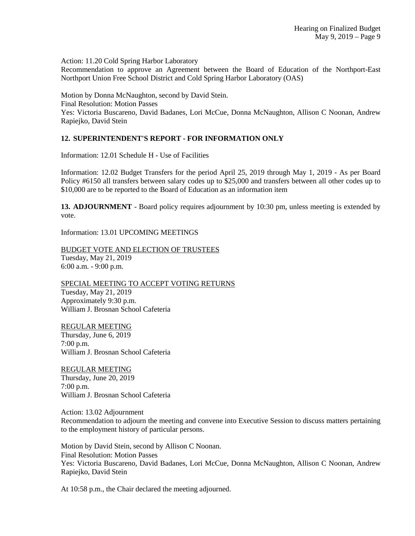Action: 11.20 Cold Spring Harbor Laboratory

Recommendation to approve an Agreement between the Board of Education of the Northport-East Northport Union Free School District and Cold Spring Harbor Laboratory (OAS)

Motion by Donna McNaughton, second by David Stein. Final Resolution: Motion Passes Yes: Victoria Buscareno, David Badanes, Lori McCue, Donna McNaughton, Allison C Noonan, Andrew Rapiejko, David Stein

## **12. SUPERINTENDENT'S REPORT - FOR INFORMATION ONLY**

Information: 12.01 Schedule H - Use of Facilities

Information: 12.02 Budget Transfers for the period April 25, 2019 through May 1, 2019 - As per Board Policy #6150 all transfers between salary codes up to \$25,000 and transfers between all other codes up to \$10,000 are to be reported to the Board of Education as an information item

**13. ADJOURNMENT** - Board policy requires adjournment by 10:30 pm, unless meeting is extended by vote.

Information: 13.01 UPCOMING MEETINGS

BUDGET VOTE AND ELECTION OF TRUSTEES Tuesday, May 21, 2019 6:00 a.m. - 9:00 p.m.

SPECIAL MEETING TO ACCEPT VOTING RETURNS Tuesday, May 21, 2019 Approximately 9:30 p.m. William J. Brosnan School Cafeteria

REGULAR MEETING Thursday, June 6, 2019 7:00 p.m. William J. Brosnan School Cafeteria

REGULAR MEETING Thursday, June 20, 2019 7:00 p.m. William J. Brosnan School Cafeteria

Action: 13.02 Adjournment Recommendation to adjourn the meeting and convene into Executive Session to discuss matters pertaining to the employment history of particular persons.

Motion by David Stein, second by Allison C Noonan. Final Resolution: Motion Passes Yes: Victoria Buscareno, David Badanes, Lori McCue, Donna McNaughton, Allison C Noonan, Andrew Rapiejko, David Stein

At 10:58 p.m., the Chair declared the meeting adjourned.